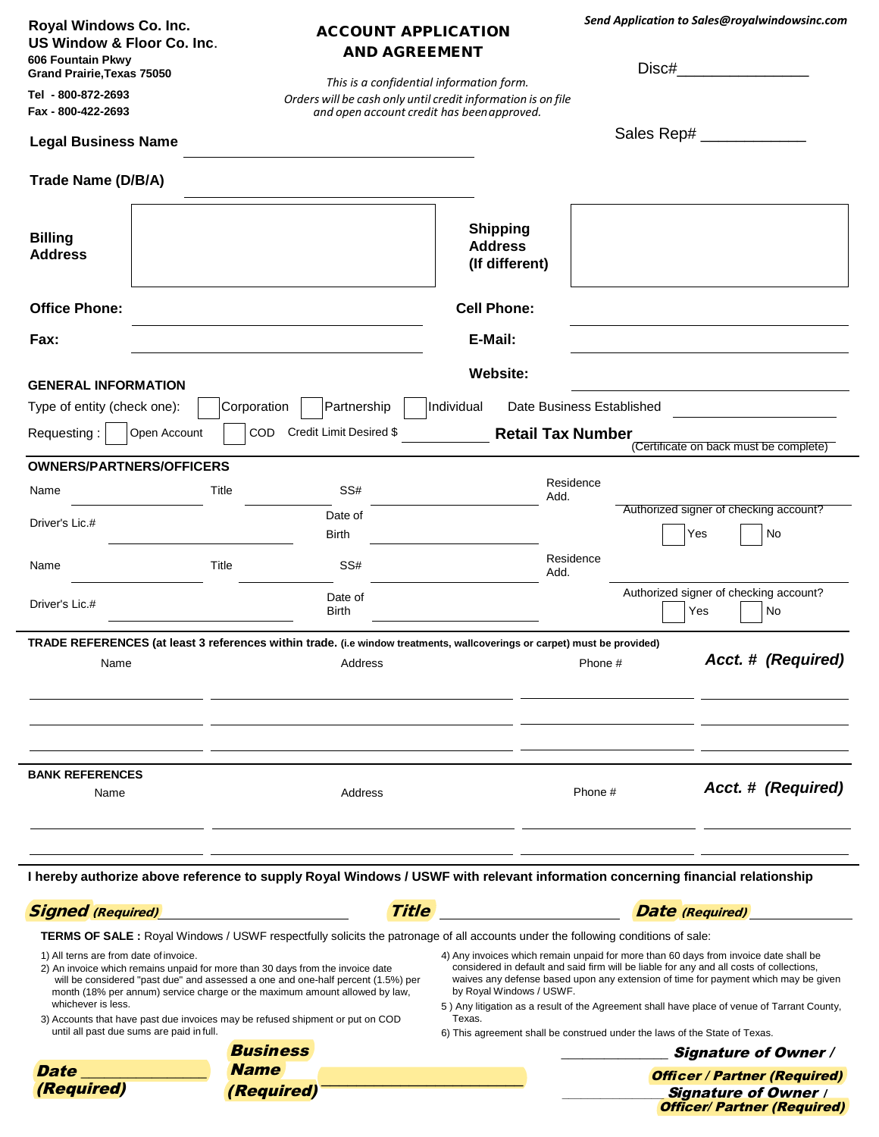| Royal Windows Co. Inc.<br>US Window & Floor Co. Inc.<br>606 Fountain Pkwy<br>Grand Prairie, Texas 75050 | <b>ACCOUNT APPLICATION</b><br><b>AND AGREEMENT</b><br>This is a confidential information form.                                                                                                                                                                                                                                                                                       |                                                                                                                  |                                                                                          | Send Application to Sales@royalwindowsinc.com<br>Disc#                                                                                                                            |
|---------------------------------------------------------------------------------------------------------|--------------------------------------------------------------------------------------------------------------------------------------------------------------------------------------------------------------------------------------------------------------------------------------------------------------------------------------------------------------------------------------|------------------------------------------------------------------------------------------------------------------|------------------------------------------------------------------------------------------|-----------------------------------------------------------------------------------------------------------------------------------------------------------------------------------|
| Tel - 800-872-2693<br>Fax - 800-422-2693                                                                | Orders will be cash only until credit information is on file<br>and open account credit has been approved.                                                                                                                                                                                                                                                                           |                                                                                                                  |                                                                                          |                                                                                                                                                                                   |
| <b>Legal Business Name</b>                                                                              |                                                                                                                                                                                                                                                                                                                                                                                      |                                                                                                                  |                                                                                          | Sales Rep# _______________                                                                                                                                                        |
| Trade Name (D/B/A)                                                                                      |                                                                                                                                                                                                                                                                                                                                                                                      |                                                                                                                  |                                                                                          |                                                                                                                                                                                   |
| <b>Billing</b><br><b>Address</b>                                                                        |                                                                                                                                                                                                                                                                                                                                                                                      | <b>Shipping</b><br><b>Address</b><br>(If different)                                                              |                                                                                          |                                                                                                                                                                                   |
| <b>Office Phone:</b>                                                                                    |                                                                                                                                                                                                                                                                                                                                                                                      | <b>Cell Phone:</b>                                                                                               |                                                                                          |                                                                                                                                                                                   |
| Fax:                                                                                                    |                                                                                                                                                                                                                                                                                                                                                                                      | E-Mail:                                                                                                          |                                                                                          |                                                                                                                                                                                   |
| <b>GENERAL INFORMATION</b>                                                                              |                                                                                                                                                                                                                                                                                                                                                                                      | <b>Website:</b>                                                                                                  |                                                                                          |                                                                                                                                                                                   |
| Type of entity (check one):                                                                             | Partnership<br>Corporation                                                                                                                                                                                                                                                                                                                                                           | Individual                                                                                                       | Date Business Established                                                                |                                                                                                                                                                                   |
| Requesting:<br>Open Account                                                                             | Credit Limit Desired \$<br><b>COD</b>                                                                                                                                                                                                                                                                                                                                                | <b>Retail Tax Number</b>                                                                                         |                                                                                          | (Certificate on back must be complete)                                                                                                                                            |
| <b>OWNERS/PARTNERS/OFFICERS</b>                                                                         |                                                                                                                                                                                                                                                                                                                                                                                      |                                                                                                                  |                                                                                          |                                                                                                                                                                                   |
| Name                                                                                                    | SS#<br>Title                                                                                                                                                                                                                                                                                                                                                                         | Add.                                                                                                             | Residence                                                                                |                                                                                                                                                                                   |
| Driver's Lic.#                                                                                          | Date of<br>Birth                                                                                                                                                                                                                                                                                                                                                                     |                                                                                                                  |                                                                                          | Authorized signer of checking account?<br>Yes<br>No                                                                                                                               |
| Name                                                                                                    | Title<br>SS#                                                                                                                                                                                                                                                                                                                                                                         | Add.                                                                                                             | Residence                                                                                |                                                                                                                                                                                   |
| Driver's Lic.#                                                                                          | Date of<br>Birth                                                                                                                                                                                                                                                                                                                                                                     |                                                                                                                  |                                                                                          | Authorized signer of checking account?<br>Yes<br>No                                                                                                                               |
|                                                                                                         | TRADE REFERENCES (at least 3 references within trade. (i.e window treatments, wallcoverings or carpet) must be provided)                                                                                                                                                                                                                                                             |                                                                                                                  |                                                                                          | Acct. # (Required)                                                                                                                                                                |
| Name                                                                                                    | Address                                                                                                                                                                                                                                                                                                                                                                              |                                                                                                                  | Phone #                                                                                  |                                                                                                                                                                                   |
|                                                                                                         |                                                                                                                                                                                                                                                                                                                                                                                      |                                                                                                                  |                                                                                          |                                                                                                                                                                                   |
|                                                                                                         |                                                                                                                                                                                                                                                                                                                                                                                      |                                                                                                                  |                                                                                          |                                                                                                                                                                                   |
| <b>BANK REFERENCES</b><br>Name                                                                          | Address                                                                                                                                                                                                                                                                                                                                                                              |                                                                                                                  | Phone #                                                                                  | Acct. # (Required)                                                                                                                                                                |
|                                                                                                         | I hereby authorize above reference to supply Royal Windows / USWF with relevant information concerning financial relationship                                                                                                                                                                                                                                                        |                                                                                                                  |                                                                                          |                                                                                                                                                                                   |
|                                                                                                         |                                                                                                                                                                                                                                                                                                                                                                                      |                                                                                                                  |                                                                                          |                                                                                                                                                                                   |
| <b>Signed</b> (Required)                                                                                | <b>Title</b>                                                                                                                                                                                                                                                                                                                                                                         |                                                                                                                  | <b>Date</b> (Required)                                                                   |                                                                                                                                                                                   |
| 1) All terns are from date of invoice.<br>whichever is less.                                            | TERMS OF SALE : Royal Windows / USWF respectfully solicits the patronage of all accounts under the following conditions of sale:<br>2) An invoice which remains unpaid for more than 30 days from the invoice date<br>will be considered "past due" and assessed a one and one-half percent (1.5%) per<br>month (18% per annum) service charge or the maximum amount allowed by law, | 4) Any invoices which remain unpaid for more than 60 days from invoice date shall be<br>by Royal Windows / USWF. | considered in default and said firm will be liable for any and all costs of collections, | waives any defense based upon any extension of time for payment which may be given<br>5) Any litigation as a result of the Agreement shall have place of venue of Tarrant County, |
| until all past due sums are paid in full.                                                               | 3) Accounts that have past due invoices may be refused shipment or put on COD                                                                                                                                                                                                                                                                                                        | Texas.<br>6) This agreement shall be construed under the laws of the State of Texas.                             |                                                                                          |                                                                                                                                                                                   |
|                                                                                                         | <b>Business</b>                                                                                                                                                                                                                                                                                                                                                                      |                                                                                                                  |                                                                                          | <b>Signature of Owner /</b>                                                                                                                                                       |
| Date                                                                                                    | <b>Name</b>                                                                                                                                                                                                                                                                                                                                                                          |                                                                                                                  |                                                                                          | <b>Officer / Partner (Required)</b>                                                                                                                                               |
| (Required)                                                                                              | (Required)                                                                                                                                                                                                                                                                                                                                                                           |                                                                                                                  |                                                                                          | <b>Signature of Owner /</b><br><b>Officer/ Partner (Required)</b>                                                                                                                 |